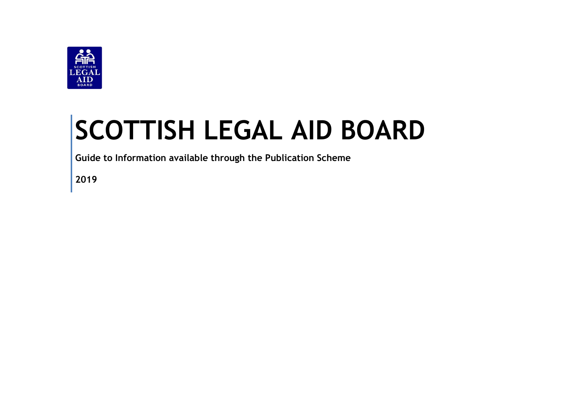

# **SCOTTISH LEGAL AID BOARD**

**Guide to Information available through the Publication Scheme**

**2019**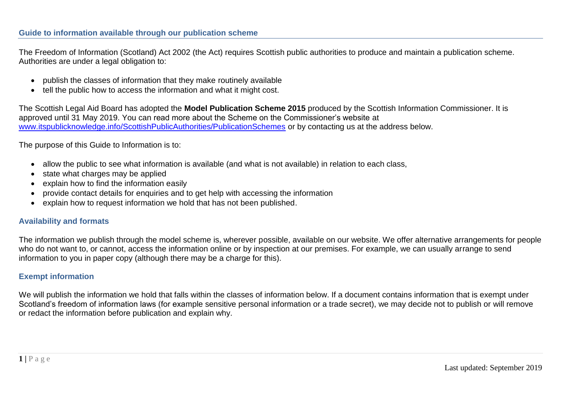The Freedom of Information (Scotland) Act 2002 (the Act) requires Scottish public authorities to produce and maintain a publication scheme. Authorities are under a legal obligation to:

- publish the classes of information that they make routinely available
- tell the public how to access the information and what it might cost.

The Scottish Legal Aid Board has adopted the **Model Publication Scheme 2015** produced by the Scottish Information Commissioner. It is approved until 31 May 2019. You can read more about the Scheme on the Commissioner's website at [www.itspublicknowledge.info/ScottishPublicAuthorities/PublicationSchemes](http://www.itspublicknowledge.info/ScottishPublicAuthorities/PublicationSchemes) or by contacting us at the address below.

The purpose of this Guide to Information is to:

- allow the public to see what information is available (and what is not available) in relation to each class,
- state what charges may be applied
- explain how to find the information easily
- provide contact details for enquiries and to get help with accessing the information
- explain how to request information we hold that has not been published.

### **Availability and formats**

The information we publish through the model scheme is, wherever possible, available on our website. We offer alternative arrangements for people who do not want to, or cannot, access the information online or by inspection at our premises. For example, we can usually arrange to send information to you in paper copy (although there may be a charge for this).

### **Exempt information**

We will publish the information we hold that falls within the classes of information below. If a document contains information that is exempt under Scotland's freedom of information laws (for example sensitive personal information or a trade secret), we may decide not to publish or will remove or redact the information before publication and explain why.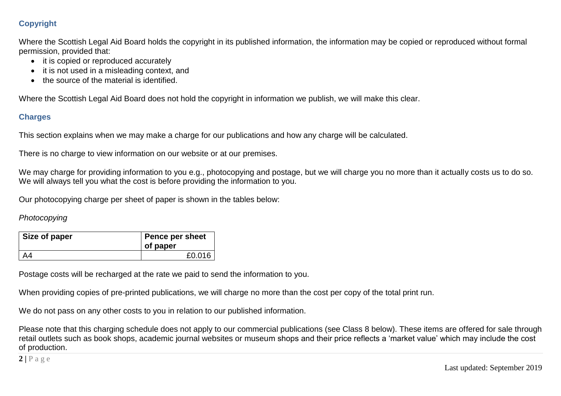# **Copyright**

Where the Scottish Legal Aid Board holds the copyright in its published information, the information may be copied or reproduced without formal permission, provided that:

- it is copied or reproduced accurately
- it is not used in a misleading context, and
- the source of the material is identified.

Where the Scottish Legal Aid Board does not hold the copyright in information we publish, we will make this clear.

## **Charges**

This section explains when we may make a charge for our publications and how any charge will be calculated.

There is no charge to view information on our website or at our premises.

We may charge for providing information to you e.g., photocopying and postage, but we will charge you no more than it actually costs us to do so. We will always tell you what the cost is before providing the information to you.

Our photocopying charge per sheet of paper is shown in the tables below:

## *Photocopying*

| Size of paper | Pence per sheet<br>of paper |
|---------------|-----------------------------|
|               | £0.016                      |

Postage costs will be recharged at the rate we paid to send the information to you.

When providing copies of pre-printed publications, we will charge no more than the cost per copy of the total print run.

We do not pass on any other costs to you in relation to our published information.

Please note that this charging schedule does not apply to our commercial publications (see Class 8 below). These items are offered for sale through retail outlets such as book shops, academic journal websites or museum shops and their price reflects a 'market value' which may include the cost of production.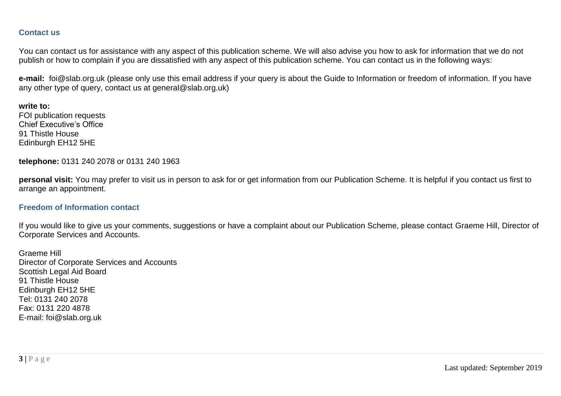#### **Contact us**

You can contact us for assistance with any aspect of this publication scheme. We will also advise you how to ask for information that we do not publish or how to complain if you are dissatisfied with any aspect of this publication scheme. You can contact us in the following ways:

**e-mail:** foi@slab.org.uk (please only use this email address if your query is about the Guide to Information or freedom of information. If you have any other type of query, contact us at general@slab.org.uk)

**write to:**  FOI publication requests Chief Executive's Office 91 Thistle House Edinburgh EH12 5HE

**telephone:** 0131 240 2078 or 0131 240 1963

**personal visit:** You may prefer to visit us in person to ask for or get information from our Publication Scheme. It is helpful if you contact us first to arrange an appointment.

#### **Freedom of Information contact**

If you would like to give us your comments, suggestions or have a complaint about our Publication Scheme, please contact Graeme Hill, Director of Corporate Services and Accounts.

Graeme Hill Director of Corporate Services and Accounts Scottish Legal Aid Board 91 Thistle House Edinburgh EH12 5HE Tel: 0131 240 2078 Fax: 0131 220 4878 E-mail: foi@slab.org.uk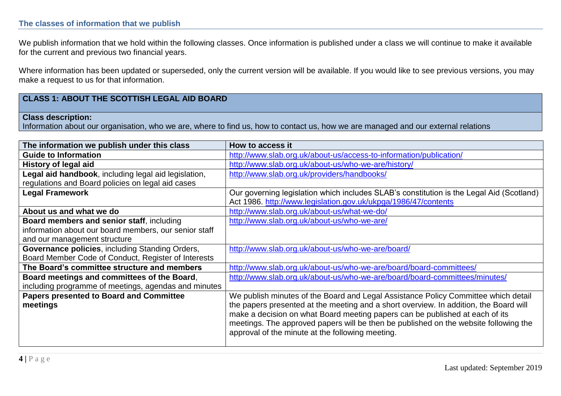#### **The classes of information that we publish**

We publish information that we hold within the following classes. Once information is published under a class we will continue to make it available for the current and previous two financial years.

Where information has been updated or superseded, only the current version will be available. If you would like to see previous versions, you may make a request to us for that information.

## **CLASS 1: ABOUT THE SCOTTISH LEGAL AID BOARD**

#### **Class description:**

Information about our organisation, who we are, where to find us, how to contact us, how we are managed and our external relations

| The information we publish under this class           | How to access it                                                                         |
|-------------------------------------------------------|------------------------------------------------------------------------------------------|
| <b>Guide to Information</b>                           | http://www.slab.org.uk/about-us/access-to-information/publication/                       |
| <b>History of legal aid</b>                           | http://www.slab.org.uk/about-us/who-we-are/history/                                      |
| Legal aid handbook, including legal aid legislation,  | http://www.slab.org.uk/providers/handbooks/                                              |
| regulations and Board policies on legal aid cases     |                                                                                          |
| <b>Legal Framework</b>                                | Our governing legislation which includes SLAB's constitution is the Legal Aid (Scotland) |
|                                                       | Act 1986. http://www.legislation.gov.uk/ukpga/1986/47/contents                           |
| About us and what we do                               | http://www.slab.org.uk/about-us/what-we-do/                                              |
| Board members and senior staff, including             | http://www.slab.org.uk/about-us/who-we-are/                                              |
| information about our board members, our senior staff |                                                                                          |
| and our management structure                          |                                                                                          |
| Governance policies, including Standing Orders,       | http://www.slab.org.uk/about-us/who-we-are/board/                                        |
| Board Member Code of Conduct, Register of Interests   |                                                                                          |
| The Board's committee structure and members           | http://www.slab.org.uk/about-us/who-we-are/board/board-committees/                       |
| Board meetings and committees of the Board,           | http://www.slab.org.uk/about-us/who-we-are/board/board-committees/minutes/               |
| including programme of meetings, agendas and minutes  |                                                                                          |
| <b>Papers presented to Board and Committee</b>        | We publish minutes of the Board and Legal Assistance Policy Committee which detail       |
| meetings                                              | the papers presented at the meeting and a short overview. In addition, the Board will    |
|                                                       | make a decision on what Board meeting papers can be published at each of its             |
|                                                       | meetings. The approved papers will be then be published on the website following the     |
|                                                       | approval of the minute at the following meeting.                                         |
|                                                       |                                                                                          |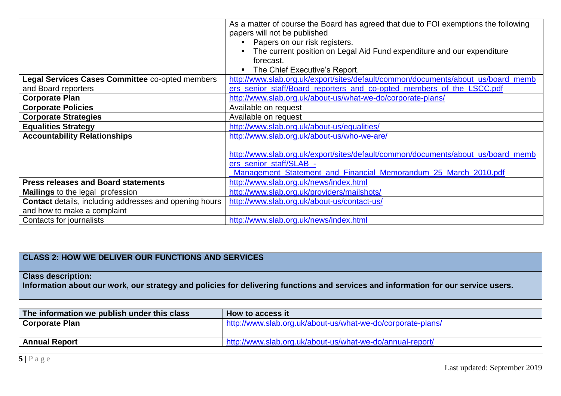|                                                               | As a matter of course the Board has agreed that due to FOI exemptions the following<br>papers will not be published |
|---------------------------------------------------------------|---------------------------------------------------------------------------------------------------------------------|
|                                                               | Papers on our risk registers.                                                                                       |
|                                                               | The current position on Legal Aid Fund expenditure and our expenditure                                              |
|                                                               | forecast.                                                                                                           |
|                                                               | The Chief Executive's Report.                                                                                       |
| Legal Services Cases Committee co-opted members               | http://www.slab.org.uk/export/sites/default/common/documents/about_us/board_memb                                    |
| and Board reporters                                           | ers senior staff/Board reporters and co-opted members of the LSCC.pdf                                               |
| <b>Corporate Plan</b>                                         | http://www.slab.org.uk/about-us/what-we-do/corporate-plans/                                                         |
| <b>Corporate Policies</b>                                     | Available on request                                                                                                |
| <b>Corporate Strategies</b>                                   | Available on request                                                                                                |
| <b>Equalities Strategy</b>                                    | http://www.slab.org.uk/about-us/equalities/                                                                         |
| <b>Accountability Relationships</b>                           | http://www.slab.org.uk/about-us/who-we-are/                                                                         |
|                                                               |                                                                                                                     |
|                                                               | http://www.slab.org.uk/export/sites/default/common/documents/about_us/board_memb                                    |
|                                                               | ers_senior_staff/SLAB_-                                                                                             |
|                                                               | Management Statement and Financial Memorandum 25 March 2010.pdf                                                     |
| <b>Press releases and Board statements</b>                    | http://www.slab.org.uk/news/index.html                                                                              |
| <b>Mailings</b> to the legal profession                       | http://www.slab.org.uk/providers/mailshots/                                                                         |
| <b>Contact</b> details, including addresses and opening hours | http://www.slab.org.uk/about-us/contact-us/                                                                         |
| and how to make a complaint                                   |                                                                                                                     |
| Contacts for journalists                                      | http://www.slab.org.uk/news/index.html                                                                              |

# **CLASS 2: HOW WE DELIVER OUR FUNCTIONS AND SERVICES**

## **Class description:**

**Information about our work, our strategy and policies for delivering functions and services and information for our service users.**

| The information we publish under this class | How to access it                                            |
|---------------------------------------------|-------------------------------------------------------------|
| <b>Corporate Plan</b>                       | http://www.slab.org.uk/about-us/what-we-do/corporate-plans/ |
|                                             |                                                             |
| <b>Annual Report</b>                        | http://www.slab.org.uk/about-us/what-we-do/annual-report/   |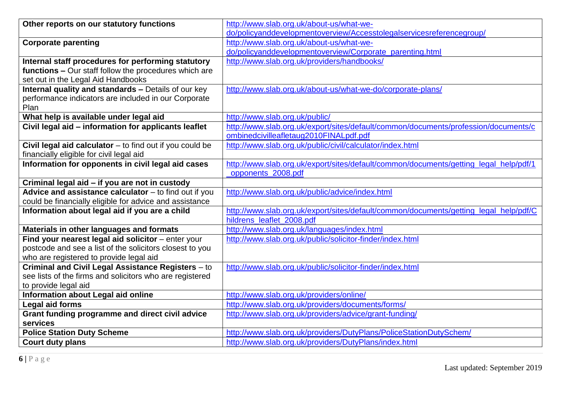| Other reports on our statutory functions                   | http://www.slab.org.uk/about-us/what-we-                                              |
|------------------------------------------------------------|---------------------------------------------------------------------------------------|
|                                                            | do/policyanddevelopmentoverview/Accesstolegalservicesreferencegroup/                  |
| <b>Corporate parenting</b>                                 | http://www.slab.org.uk/about-us/what-we-                                              |
|                                                            | do/policyanddevelopmentoverview/Corporate_parenting.html                              |
| Internal staff procedures for performing statutory         | http://www.slab.org.uk/providers/handbooks/                                           |
| functions - Our staff follow the procedures which are      |                                                                                       |
| set out in the Legal Aid Handbooks                         |                                                                                       |
| <b>Internal quality and standards - Details of our key</b> | http://www.slab.org.uk/about-us/what-we-do/corporate-plans/                           |
| performance indicators are included in our Corporate       |                                                                                       |
| Plan                                                       |                                                                                       |
| What help is available under legal aid                     | http://www.slab.org.uk/public/                                                        |
| Civil legal aid - information for applicants leaflet       | http://www.slab.org.uk/export/sites/default/common/documents/profession/documents/c   |
|                                                            | ombinedcivilleafletaug2010FINALpdf.pdf                                                |
| Civil legal aid calculator $-$ to find out if you could be | http://www.slab.org.uk/public/civil/calculator/index.html                             |
| financially eligible for civil legal aid                   |                                                                                       |
| Information for opponents in civil legal aid cases         | http://www.slab.org.uk/export/sites/default/common/documents/getting_legal_help/pdf/1 |
|                                                            | opponents 2008.pdf                                                                    |
| Criminal legal aid - if you are not in custody             |                                                                                       |
| Advice and assistance calculator - to find out if you      | http://www.slab.org.uk/public/advice/index.html                                       |
| could be financially eligible for advice and assistance    |                                                                                       |
| Information about legal aid if you are a child             | http://www.slab.org.uk/export/sites/default/common/documents/getting_legal_help/pdf/C |
|                                                            | hildrens leaflet 2008.pdf                                                             |
| Materials in other languages and formats                   | http://www.slab.org.uk/languages/index.html                                           |
| Find your nearest legal aid solicitor - enter your         | http://www.slab.org.uk/public/solicitor-finder/index.html                             |
| postcode and see a list of the solicitors closest to you   |                                                                                       |
| who are registered to provide legal aid                    |                                                                                       |
| <b>Criminal and Civil Legal Assistance Registers - to</b>  | http://www.slab.org.uk/public/solicitor-finder/index.html                             |
| see lists of the firms and solicitors who are registered   |                                                                                       |
| to provide legal aid                                       |                                                                                       |
| Information about Legal aid online                         | http://www.slab.org.uk/providers/online/                                              |
| <b>Legal aid forms</b>                                     | http://www.slab.org.uk/providers/documents/forms/                                     |
| Grant funding programme and direct civil advice            | http://www.slab.org.uk/providers/advice/grant-funding/                                |
| services                                                   |                                                                                       |
| <b>Police Station Duty Scheme</b>                          | http://www.slab.org.uk/providers/DutyPlans/PoliceStationDutySchem/                    |
| <b>Court duty plans</b>                                    | http://www.slab.org.uk/providers/DutyPlans/index.html                                 |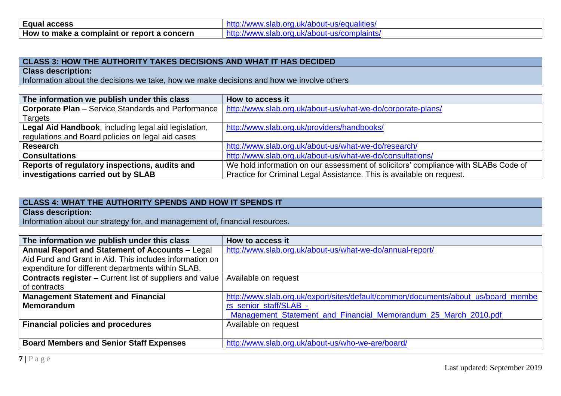| <b>Equal access</b>   | iues<br>IN.  |
|-----------------------|--------------|
| <b>How to</b>         | -            |
| : or report a concern | $\mathbf{m}$ |
| o make a complaint i  | πυιαπιιδ     |

### **CLASS 3: HOW THE AUTHORITY TAKES DECISIONS AND WHAT IT HAS DECIDED**

**Class description:**

Information about the decisions we take, how we make decisions and how we involve others

| The information we publish under this class               | How to access it                                                                   |
|-----------------------------------------------------------|------------------------------------------------------------------------------------|
| <b>Corporate Plan</b> – Service Standards and Performance | http://www.slab.org.uk/about-us/what-we-do/corporate-plans/                        |
| Targets                                                   |                                                                                    |
| Legal Aid Handbook, including legal aid legislation,      | http://www.slab.org.uk/providers/handbooks/                                        |
| regulations and Board policies on legal aid cases         |                                                                                    |
| <b>Research</b>                                           | http://www.slab.org.uk/about-us/what-we-do/research/                               |
| <b>Consultations</b>                                      | http://www.slab.org.uk/about-us/what-we-do/consultations/                          |
| Reports of regulatory inspections, audits and             | We hold information on our assessment of solicitors' compliance with SLABs Code of |
| investigations carried out by SLAB                        | Practice for Criminal Legal Assistance. This is available on request.              |

## **CLASS 4: WHAT THE AUTHORITY SPENDS AND HOW IT SPENDS IT**

**Class description:**

Information about our strategy for, and management of, financial resources.

| The information we publish under this class                     | How to access it                                                                  |
|-----------------------------------------------------------------|-----------------------------------------------------------------------------------|
| Annual Report and Statement of Accounts - Legal                 | http://www.slab.org.uk/about-us/what-we-do/annual-report/                         |
| Aid Fund and Grant in Aid. This includes information on         |                                                                                   |
| expenditure for different departments within SLAB.              |                                                                                   |
| <b>Contracts register – Current list of suppliers and value</b> | Available on request                                                              |
| of contracts                                                    |                                                                                   |
| <b>Management Statement and Financial</b>                       | http://www.slab.org.uk/export/sites/default/common/documents/about_us/board_membe |
| <b>Memorandum</b>                                               | rs_senior_staff/SLAB_-                                                            |
|                                                                 | Management Statement and Financial Memorandum 25 March 2010.pdf                   |
| <b>Financial policies and procedures</b>                        | Available on request                                                              |
|                                                                 |                                                                                   |
| <b>Board Members and Senior Staff Expenses</b>                  | http://www.slab.org.uk/about-us/who-we-are/board/                                 |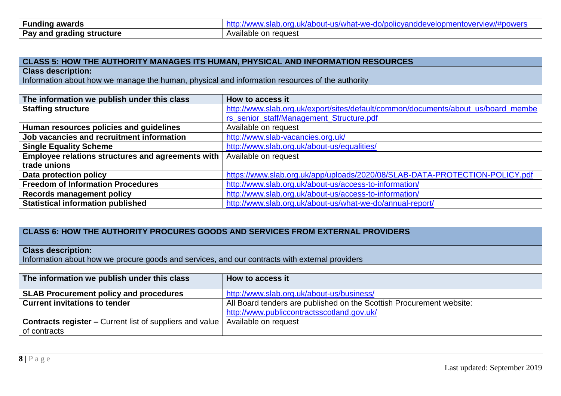| <b>Funding awards</b>            | ww.slab.org.uk/about-us/what-we-do/policvanddevelopr<br>omentoverview/#powers<br><b>/www</b><br>πτιο |
|----------------------------------|------------------------------------------------------------------------------------------------------|
| <b>Pay and grading structure</b> | Available on request                                                                                 |

#### **CLASS 5: HOW THE AUTHORITY MANAGES ITS HUMAN, PHYSICAL AND INFORMATION RESOURCES**

**Class description:**

Information about how we manage the human, physical and information resources of the authority

| The information we publish under this class       | How to access it                                                                  |
|---------------------------------------------------|-----------------------------------------------------------------------------------|
| <b>Staffing structure</b>                         | http://www.slab.org.uk/export/sites/default/common/documents/about_us/board_membe |
|                                                   | rs_senior_staff/Management_Structure.pdf                                          |
| Human resources policies and guidelines           | Available on request                                                              |
| Job vacancies and recruitment information         | http://www.slab-vacancies.org.uk/                                                 |
| <b>Single Equality Scheme</b>                     | http://www.slab.org.uk/about-us/equalities/                                       |
| Employee relations structures and agreements with | Available on request                                                              |
| trade unions                                      |                                                                                   |
| Data protection policy                            | https://www.slab.org.uk/app/uploads/2020/08/SLAB-DATA-PROTECTION-POLICY.pdf       |
| <b>Freedom of Information Procedures</b>          | http://www.slab.org.uk/about-us/access-to-information/                            |
| <b>Records management policy</b>                  | http://www.slab.org.uk/about-us/access-to-information/                            |
| <b>Statistical information published</b>          | http://www.slab.org.uk/about-us/what-we-do/annual-report/                         |

## **CLASS 6: HOW THE AUTHORITY PROCURES GOODS AND SERVICES FROM EXTERNAL PROVIDERS**

## **Class description:**

Information about how we procure goods and services, and our contracts with external providers

| The information we publish under this class                                            | How to access it                                                     |
|----------------------------------------------------------------------------------------|----------------------------------------------------------------------|
| <b>SLAB Procurement policy and procedures</b>                                          | http://www.slab.org.uk/about-us/business/                            |
| <b>Current invitations to tender</b>                                                   | All Board tenders are published on the Scottish Procurement website: |
|                                                                                        | http://www.publiccontractsscotland.gov.uk/                           |
| <b>Contracts register –</b> Current list of suppliers and value   Available on request |                                                                      |
| of contracts                                                                           |                                                                      |